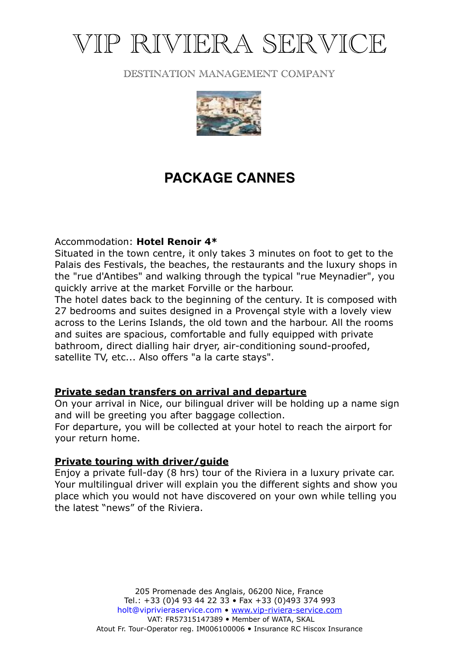# VIP RIVIERA SERVICE

## DESTINATION MANAGEMENT COMPANY



## **PACKAGE CANNES**

Accommodation: **Hotel Renoir 4\***

Situated in the town centre, it only takes 3 minutes on foot to get to the Palais des Festivals, the beaches, the restaurants and the luxury shops in the "rue d'Antibes" and walking through the typical "rue Meynadier", you quickly arrive at the market Forville or the harbour.

The hotel dates back to the beginning of the century. It is composed with 27 bedrooms and suites designed in a Provençal style with a lovely view across to the Lerins Islands, the old town and the harbour. All the rooms and suites are spacious, comfortable and fully equipped with private bathroom, direct dialling hair dryer, air-conditioning sound-proofed, satellite TV, etc... Also offers "a la carte stays".

## **Private sedan transfers on arrival and departure**

On your arrival in Nice, our bilingual driver will be holding up a name sign and will be greeting you after baggage collection.

For departure, you will be collected at your hotel to reach the airport for your return home.

## **Private touring with driver/guide**

Enjoy a private full-day (8 hrs) tour of the Riviera in a luxury private car. Your multilingual driver will explain you the different sights and show you place which you would not have discovered on your own while telling you the latest "news" of the Riviera.